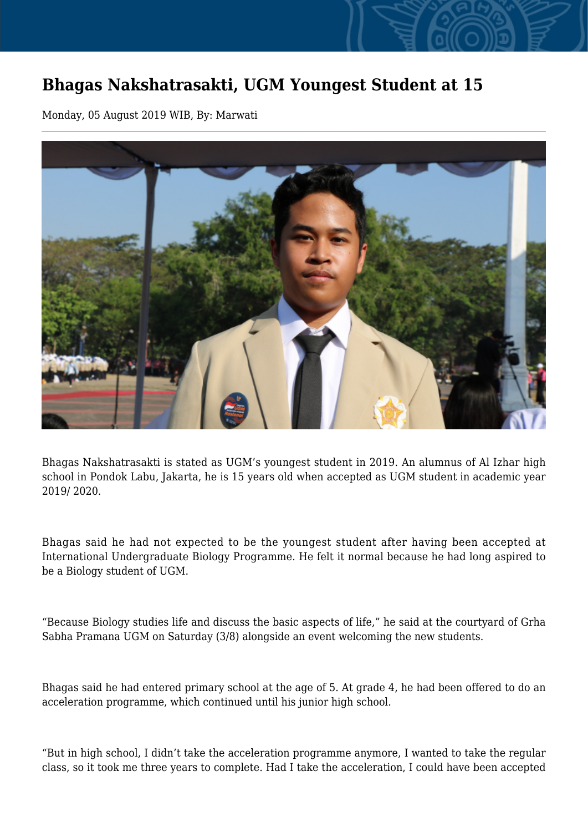## **Bhagas Nakshatrasakti, UGM Youngest Student at 15**

Monday, 05 August 2019 WIB, By: Marwati



Bhagas Nakshatrasakti is stated as UGM's youngest student in 2019. An alumnus of Al Izhar high school in Pondok Labu, Jakarta, he is 15 years old when accepted as UGM student in academic year 2019/ 2020.

Bhagas said he had not expected to be the youngest student after having been accepted at International Undergraduate Biology Programme. He felt it normal because he had long aspired to be a Biology student of UGM.

"Because Biology studies life and discuss the basic aspects of life," he said at the courtyard of Grha Sabha Pramana UGM on Saturday (3/8) alongside an event welcoming the new students.

Bhagas said he had entered primary school at the age of 5. At grade 4, he had been offered to do an acceleration programme, which continued until his junior high school.

"But in high school, I didn't take the acceleration programme anymore, I wanted to take the regular class, so it took me three years to complete. Had I take the acceleration, I could have been accepted